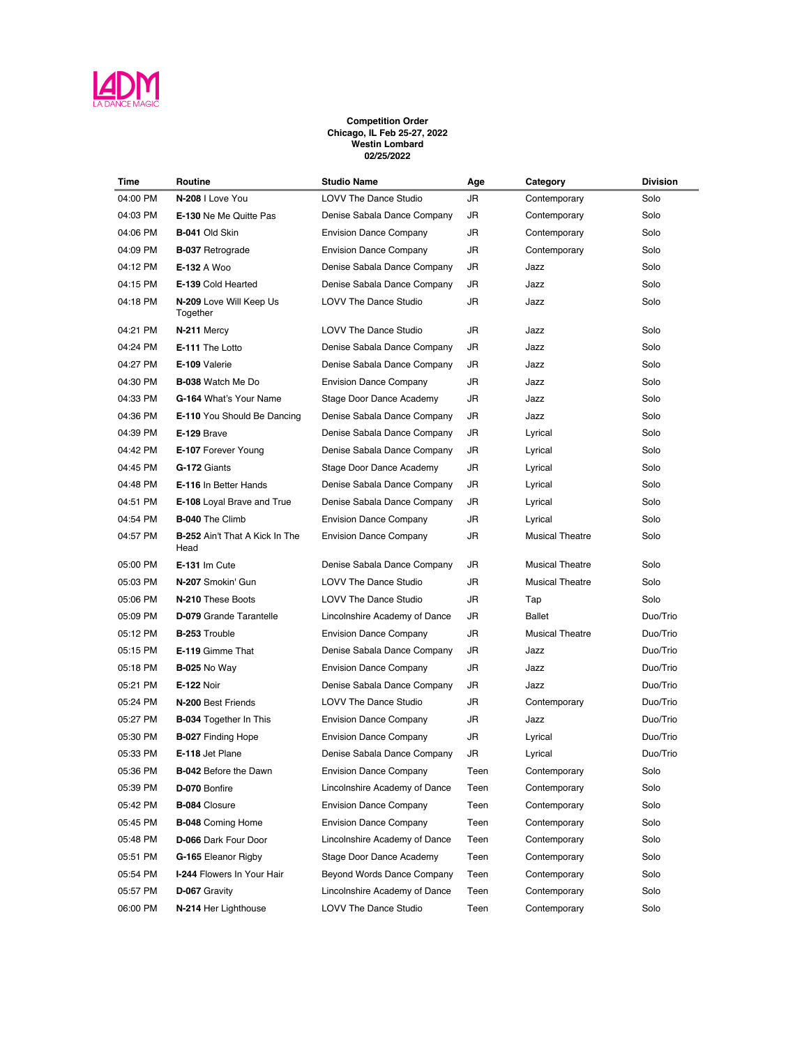

## **Competition Order Chicago, IL Feb 25-27, 2022 Westin Lombard 02/25/2022**

| Time     | Routine                                       | <b>Studio Name</b>            | Age  | Category               | <b>Division</b> |
|----------|-----------------------------------------------|-------------------------------|------|------------------------|-----------------|
| 04:00 PM | N-208   Love You                              | <b>LOVV The Dance Studio</b>  | JR   | Contemporary           | Solo            |
| 04:03 PM | <b>E-130 Ne Me Quitte Pas</b>                 | Denise Sabala Dance Company   | JR   | Contemporary           | Solo            |
| 04:06 PM | B-041 Old Skin                                | <b>Envision Dance Company</b> | JR   | Contemporary           | Solo            |
| 04:09 PM | <b>B-037 Retrograde</b>                       | <b>Envision Dance Company</b> | JR   | Contemporary           | Solo            |
| 04:12 PM | E-132 A Woo                                   | Denise Sabala Dance Company   | JR   | Jazz                   | Solo            |
| 04:15 PM | E-139 Cold Hearted                            | Denise Sabala Dance Company   | JR   | Jazz                   | Solo            |
| 04:18 PM | N-209 Love Will Keep Us<br>Together           | <b>LOVV The Dance Studio</b>  | JR   | Jazz                   | Solo            |
| 04:21 PM | N-211 Mercy                                   | LOVV The Dance Studio         | JR   | Jazz                   | Solo            |
| 04:24 PM | E-111 The Lotto                               | Denise Sabala Dance Company   | JR   | Jazz                   | Solo            |
| 04:27 PM | E-109 Valerie                                 | Denise Sabala Dance Company   | JR   | Jazz                   | Solo            |
| 04:30 PM | <b>B-038</b> Watch Me Do                      | <b>Envision Dance Company</b> | JR   | Jazz                   | Solo            |
| 04:33 PM | G-164 What's Your Name                        | Stage Door Dance Academy      | JR   | Jazz                   | Solo            |
| 04:36 PM | E-110 You Should Be Dancing                   | Denise Sabala Dance Company   | JR   | Jazz                   | Solo            |
| 04:39 PM | E-129 Brave                                   | Denise Sabala Dance Company   | JR   | Lyrical                | Solo            |
| 04:42 PM | <b>E-107 Forever Young</b>                    | Denise Sabala Dance Company   | JR   | Lyrical                | Solo            |
| 04:45 PM | G-172 Giants                                  | Stage Door Dance Academy      | JR   | Lyrical                | Solo            |
| 04:48 PM | E-116 In Better Hands                         | Denise Sabala Dance Company   | JR   | Lyrical                | Solo            |
| 04:51 PM | E-108 Loyal Brave and True                    | Denise Sabala Dance Company   | JR   | Lyrical                | Solo            |
| 04:54 PM | <b>B-040 The Climb</b>                        | <b>Envision Dance Company</b> | JR   | Lyrical                | Solo            |
| 04:57 PM | <b>B-252</b> Ain't That A Kick In The<br>Head | <b>Envision Dance Company</b> | JR   | <b>Musical Theatre</b> | Solo            |
| 05:00 PM | E-131 Im Cute                                 | Denise Sabala Dance Company   | JR   | <b>Musical Theatre</b> | Solo            |
| 05:03 PM | N-207 Smokin' Gun                             | <b>LOVV The Dance Studio</b>  | JR   | <b>Musical Theatre</b> | Solo            |
| 05:06 PM | N-210 These Boots                             | <b>LOVV The Dance Studio</b>  | JR   | Tap                    | Solo            |
| 05:09 PM | <b>D-079</b> Grande Tarantelle                | Lincolnshire Academy of Dance | JR   | <b>Ballet</b>          | Duo/Trio        |
| 05:12 PM | <b>B-253 Trouble</b>                          | <b>Envision Dance Company</b> | JR   | <b>Musical Theatre</b> | Duo/Trio        |
| 05:15 PM | E-119 Gimme That                              | Denise Sabala Dance Company   | JR   | Jazz                   | Duo/Trio        |
| 05:18 PM | <b>B-025 No Way</b>                           | <b>Envision Dance Company</b> | JR   | Jazz                   | Duo/Trio        |
| 05:21 PM | <b>E-122 Noir</b>                             | Denise Sabala Dance Company   | JR   | Jazz                   | Duo/Trio        |
| 05:24 PM | N-200 Best Friends                            | LOVV The Dance Studio         | JR   | Contemporary           | Duo/Trio        |
| 05:27 PM | B-034 Together In This                        | <b>Envision Dance Company</b> | JR   | Jazz                   | Duo/Trio        |
| 05:30 PM | <b>B-027 Finding Hope</b>                     | <b>Envision Dance Company</b> | JR   | Lyrical                | Duo/Trio        |
| 05:33 PM | E-118 Jet Plane                               | Denise Sabala Dance Company   | JR   | Lyrical                | Duo/Trio        |
| 05:36 PM | <b>B-042</b> Before the Dawn                  | <b>Envision Dance Company</b> | Teen | Contemporary           | Solo            |
| 05:39 PM | D-070 Bonfire                                 | Lincolnshire Academy of Dance | Teen | Contemporary           | Solo            |
| 05:42 PM | <b>B-084 Closure</b>                          | <b>Envision Dance Company</b> | Teen | Contemporary           | Solo            |
| 05:45 PM | <b>B-048</b> Coming Home                      | <b>Envision Dance Company</b> | Teen | Contemporary           | Solo            |
| 05:48 PM | D-066 Dark Four Door                          | Lincolnshire Academy of Dance | Teen | Contemporary           | Solo            |
| 05:51 PM | G-165 Eleanor Rigby                           | Stage Door Dance Academy      | Teen | Contemporary           | Solo            |
| 05:54 PM | I-244 Flowers In Your Hair                    | Beyond Words Dance Company    | Teen | Contemporary           | Solo            |
| 05:57 PM | D-067 Gravity                                 | Lincolnshire Academy of Dance | Teen | Contemporary           | Solo            |
| 06:00 PM | N-214 Her Lighthouse                          | LOVV The Dance Studio         | Teen | Contemporary           | Solo            |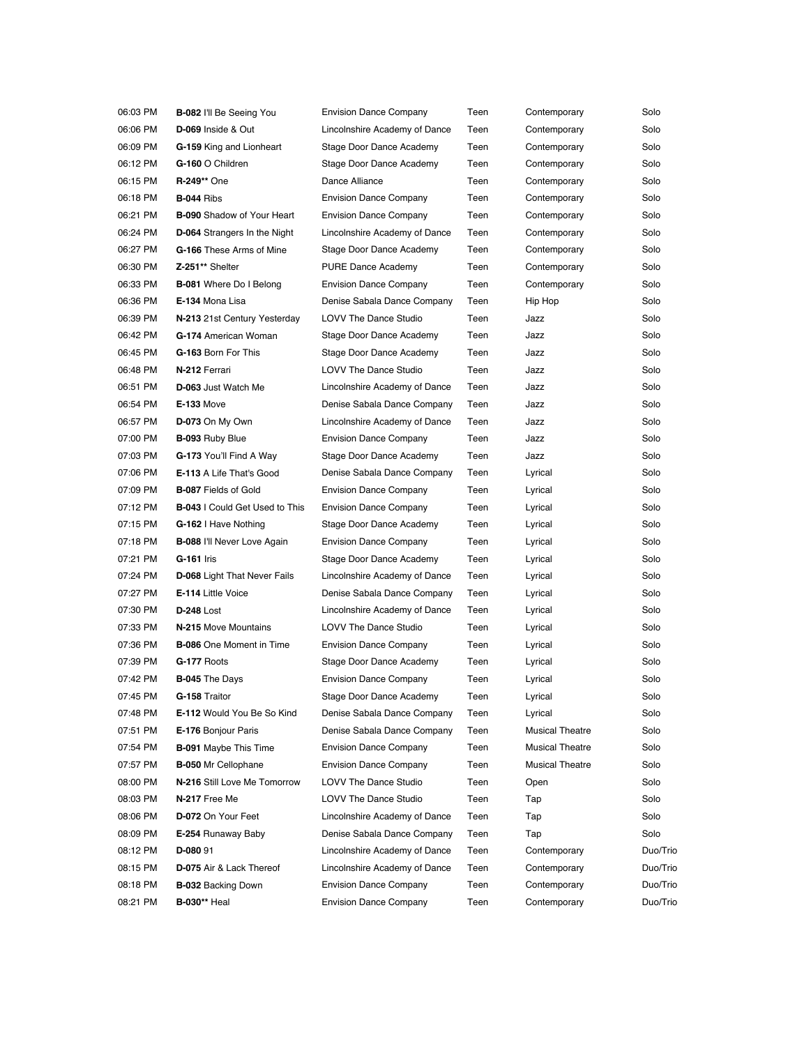| 06:03 PM | <b>B-082 I'll Be Seeing You</b>       | <b>Envision Dance Company</b> | Teen | Contemporary           | Solo     |
|----------|---------------------------------------|-------------------------------|------|------------------------|----------|
| 06:06 PM | D-069 Inside & Out                    | Lincolnshire Academy of Dance | Teen | Contemporary           | Solo     |
| 06:09 PM | G-159 King and Lionheart              | Stage Door Dance Academy      | Teen | Contemporary           | Solo     |
| 06:12 PM | G-160 O Children                      | Stage Door Dance Academy      | Teen | Contemporary           | Solo     |
| 06:15 PM | <b>R-249** One</b>                    | Dance Alliance                | Teen | Contemporary           | Solo     |
| 06:18 PM | <b>B-044 Ribs</b>                     | <b>Envision Dance Company</b> | Teen | Contemporary           | Solo     |
| 06:21 PM | <b>B-090</b> Shadow of Your Heart     | <b>Envision Dance Company</b> | Teen | Contemporary           | Solo     |
| 06:24 PM | <b>D-064</b> Strangers In the Night   | Lincolnshire Academy of Dance | Teen | Contemporary           | Solo     |
| 06:27 PM | G-166 These Arms of Mine              | Stage Door Dance Academy      | Teen | Contemporary           | Solo     |
| 06:30 PM | Z-251** Shelter                       | <b>PURE Dance Academy</b>     | Teen | Contemporary           | Solo     |
| 06:33 PM | <b>B-081</b> Where Do I Belong        | <b>Envision Dance Company</b> | Teen | Contemporary           | Solo     |
| 06:36 PM | E-134 Mona Lisa                       | Denise Sabala Dance Company   | Teen | Hip Hop                | Solo     |
| 06:39 PM | N-213 21st Century Yesterday          | <b>LOVV The Dance Studio</b>  | Teen | Jazz                   | Solo     |
| 06:42 PM | G-174 American Woman                  | Stage Door Dance Academy      | Teen | Jazz                   | Solo     |
| 06:45 PM | G-163 Born For This                   | Stage Door Dance Academy      | Teen | Jazz                   | Solo     |
| 06:48 PM | N-212 Ferrari                         | <b>LOVV The Dance Studio</b>  | Teen | Jazz                   | Solo     |
| 06:51 PM | D-063 Just Watch Me                   | Lincolnshire Academy of Dance | Teen | Jazz                   | Solo     |
| 06:54 PM | <b>E-133 Move</b>                     | Denise Sabala Dance Company   | Teen | Jazz                   | Solo     |
| 06:57 PM | D-073 On My Own                       | Lincolnshire Academy of Dance | Teen | Jazz                   | Solo     |
| 07:00 PM | <b>B-093 Ruby Blue</b>                | <b>Envision Dance Company</b> | Teen | Jazz                   | Solo     |
| 07:03 PM | G-173 You'll Find A Way               | Stage Door Dance Academy      | Teen | Jazz                   | Solo     |
| 07:06 PM | E-113 A Life That's Good              | Denise Sabala Dance Company   | Teen | Lyrical                | Solo     |
| 07:09 PM | <b>B-087 Fields of Gold</b>           | <b>Envision Dance Company</b> | Teen | Lyrical                | Solo     |
| 07:12 PM | <b>B-043</b> I Could Get Used to This | <b>Envision Dance Company</b> | Teen | Lyrical                | Solo     |
| 07:15 PM | G-162   Have Nothing                  | Stage Door Dance Academy      | Teen | Lyrical                | Solo     |
| 07:18 PM | <b>B-088 I'll Never Love Again</b>    | <b>Envision Dance Company</b> | Teen | Lyrical                | Solo     |
| 07:21 PM | <b>G-161 Iris</b>                     | Stage Door Dance Academy      | Teen | Lyrical                | Solo     |
| 07:24 PM | <b>D-068</b> Light That Never Fails   | Lincolnshire Academy of Dance | Teen | Lyrical                | Solo     |
| 07:27 PM | E-114 Little Voice                    | Denise Sabala Dance Company   | Teen | Lyrical                | Solo     |
| 07:30 PM | <b>D-248 Lost</b>                     | Lincolnshire Academy of Dance | Teen | Lyrical                | Solo     |
| 07:33 PM | N-215 Move Mountains                  | <b>LOVV The Dance Studio</b>  | Teen | Lyrical                | Solo     |
| 07:36 PM | <b>B-086</b> One Moment in Time       | <b>Envision Dance Company</b> | Teen | Lyrical                | Solo     |
| 07:39 PM | G-177 Roots                           | Stage Door Dance Academy      | Teen | Lyrical                | Solo     |
| 07:42 PM | <b>B-045 The Days</b>                 | <b>Envision Dance Company</b> | Teen | Lyrical                | Solo     |
| 07:45 PM | G-158 Traitor                         | Stage Door Dance Academy      | Teen | Lyrical                | Solo     |
| 07:48 PM | <b>E-112 Would You Be So Kind</b>     | Denise Sabala Dance Company   | Teen | Lyrical                | Solo     |
| 07:51 PM | <b>E-176 Bonjour Paris</b>            | Denise Sabala Dance Company   | Teen | <b>Musical Theatre</b> | Solo     |
| 07:54 PM | <b>B-091</b> Maybe This Time          | <b>Envision Dance Company</b> | Teen | <b>Musical Theatre</b> | Solo     |
| 07:57 PM | <b>B-050</b> Mr Cellophane            | <b>Envision Dance Company</b> | Teen | <b>Musical Theatre</b> | Solo     |
| 08:00 PM | N-216 Still Love Me Tomorrow          | <b>LOVV The Dance Studio</b>  | Teen | Open                   | Solo     |
| 08:03 PM | N-217 Free Me                         | LOVV The Dance Studio         | Teen | Tap                    | Solo     |
| 08:06 PM | D-072 On Your Feet                    | Lincolnshire Academy of Dance | Teen | Tap                    | Solo     |
| 08:09 PM | E-254 Runaway Baby                    | Denise Sabala Dance Company   | Teen | Tap                    | Solo     |
| 08:12 PM | D-080 91                              | Lincolnshire Academy of Dance | Teen | Contemporary           | Duo/Trio |
| 08:15 PM | D-075 Air & Lack Thereof              | Lincolnshire Academy of Dance | Teen | Contemporary           | Duo/Trio |
| 08:18 PM | <b>B-032 Backing Down</b>             | <b>Envision Dance Company</b> | Teen | Contemporary           | Duo/Trio |
| 08:21 PM | <b>B-030**</b> Heal                   | <b>Envision Dance Company</b> | Teen | Contemporary           | Duo/Trio |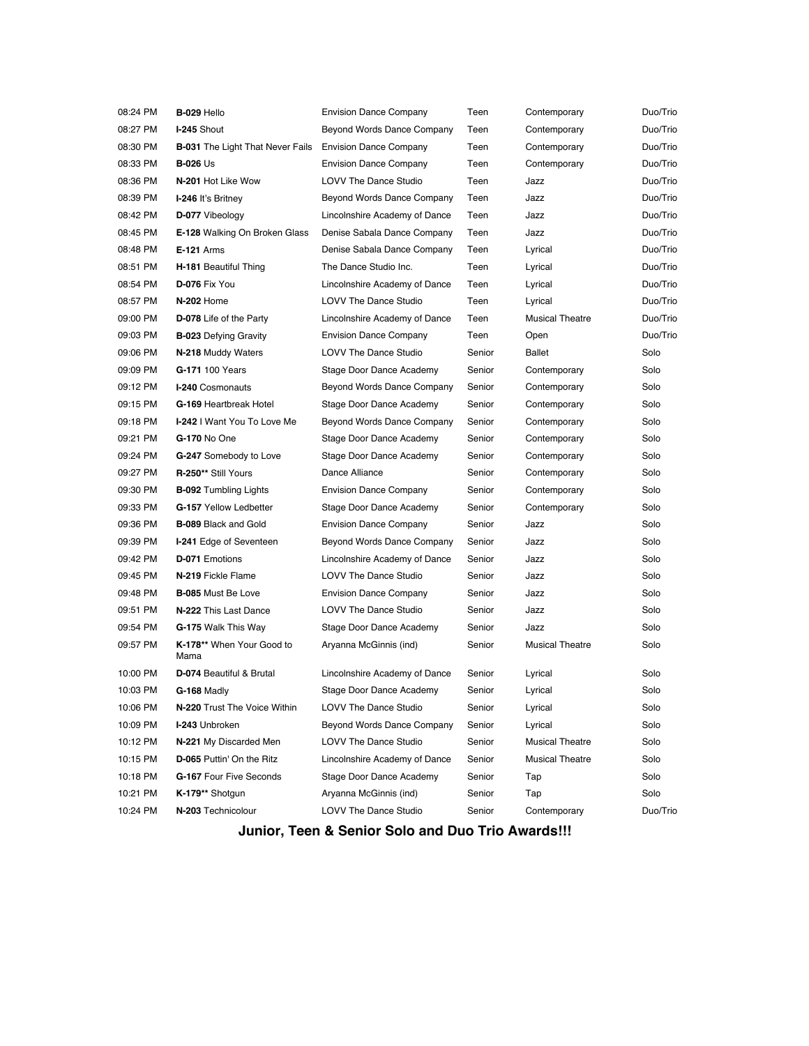| 08:24 PM | B-029 Hello                             | <b>Envision Dance Company</b> | Teen   | Contemporary           | Duo/Trio |
|----------|-----------------------------------------|-------------------------------|--------|------------------------|----------|
| 08:27 PM | I-245 Shout                             | Beyond Words Dance Company    | Teen   | Contemporary           | Duo/Trio |
| 08:30 PM | <b>B-031</b> The Light That Never Fails | <b>Envision Dance Company</b> | Teen   | Contemporary           | Duo/Trio |
| 08:33 PM | <b>B-026 Us</b>                         | <b>Envision Dance Company</b> | Teen   | Contemporary           | Duo/Trio |
| 08:36 PM | N-201 Hot Like Wow                      | LOVV The Dance Studio         | Teen   | Jazz                   | Duo/Trio |
| 08:39 PM | I-246 It's Britney                      | Beyond Words Dance Company    | Teen   | Jazz                   | Duo/Trio |
| 08:42 PM | D-077 Vibeology                         | Lincolnshire Academy of Dance | Teen   | Jazz                   | Duo/Trio |
| 08:45 PM | E-128 Walking On Broken Glass           | Denise Sabala Dance Company   | Teen   | Jazz                   | Duo/Trio |
| 08:48 PM | <b>E-121</b> Arms                       | Denise Sabala Dance Company   | Teen   | Lyrical                | Duo/Trio |
| 08:51 PM | H-181 Beautiful Thing                   | The Dance Studio Inc.         | Teen   | Lyrical                | Duo/Trio |
| 08:54 PM | D-076 Fix You                           | Lincolnshire Academy of Dance | Teen   | Lyrical                | Duo/Trio |
| 08:57 PM | N-202 Home                              | <b>LOVV The Dance Studio</b>  | Teen   | Lyrical                | Duo/Trio |
| 09:00 PM | D-078 Life of the Party                 | Lincolnshire Academy of Dance | Teen   | <b>Musical Theatre</b> | Duo/Trio |
| 09:03 PM | <b>B-023</b> Defying Gravity            | <b>Envision Dance Company</b> | Teen   | Open                   | Duo/Trio |
| 09:06 PM | N-218 Muddy Waters                      | <b>LOVV The Dance Studio</b>  | Senior | <b>Ballet</b>          | Solo     |
| 09:09 PM | G-171 100 Years                         | Stage Door Dance Academy      | Senior | Contemporary           | Solo     |
| 09:12 PM | <b>I-240</b> Cosmonauts                 | Beyond Words Dance Company    | Senior | Contemporary           | Solo     |
| 09:15 PM | G-169 Heartbreak Hotel                  | Stage Door Dance Academy      | Senior | Contemporary           | Solo     |
| 09:18 PM | I-242 I Want You To Love Me             | Beyond Words Dance Company    | Senior | Contemporary           | Solo     |
| 09:21 PM | G-170 No One                            | Stage Door Dance Academy      | Senior | Contemporary           | Solo     |
| 09:24 PM | G-247 Somebody to Love                  | Stage Door Dance Academy      | Senior | Contemporary           | Solo     |
| 09:27 PM | R-250** Still Yours                     | Dance Alliance                | Senior | Contemporary           | Solo     |
| 09:30 PM | <b>B-092</b> Tumbling Lights            | <b>Envision Dance Company</b> | Senior | Contemporary           | Solo     |
| 09:33 PM | G-157 Yellow Ledbetter                  | Stage Door Dance Academy      | Senior | Contemporary           | Solo     |
| 09:36 PM | <b>B-089 Black and Gold</b>             | <b>Envision Dance Company</b> | Senior | Jazz                   | Solo     |
| 09:39 PM | <b>I-241 Edge of Seventeen</b>          | Beyond Words Dance Company    | Senior | Jazz                   | Solo     |
| 09:42 PM | D-071 Emotions                          | Lincolnshire Academy of Dance | Senior | Jazz                   | Solo     |
| 09:45 PM | N-219 Fickle Flame                      | <b>LOVV The Dance Studio</b>  | Senior | Jazz                   | Solo     |
| 09:48 PM | <b>B-085 Must Be Love</b>               | <b>Envision Dance Company</b> | Senior | Jazz                   | Solo     |
| 09:51 PM | N-222 This Last Dance                   | <b>LOVV The Dance Studio</b>  | Senior | Jazz                   | Solo     |
| 09:54 PM | G-175 Walk This Way                     | Stage Door Dance Academy      | Senior | Jazz                   | Solo     |
| 09:57 PM | K-178** When Your Good to<br>Mama       | Aryanna McGinnis (ind)        | Senior | <b>Musical Theatre</b> | Solo     |
| 10:00 PM | D-074 Beautiful & Brutal                | Lincolnshire Academy of Dance | Senior | Lyrical                | Solo     |
| 10:03 PM | G-168 Madly                             | Stage Door Dance Academy      | Senior | Lyrical                | Solo     |
| 10:06 PM | N-220 Trust The Voice Within            | LOVV The Dance Studio         | Senior | Lyrical                | Solo     |
| 10:09 PM | I-243 Unbroken                          | Beyond Words Dance Company    | Senior | Lyrical                | Solo     |
| 10:12 PM | N-221 My Discarded Men                  | LOVV The Dance Studio         | Senior | <b>Musical Theatre</b> | Solo     |
| 10:15 PM | D-065 Puttin' On the Ritz               | Lincolnshire Academy of Dance | Senior | <b>Musical Theatre</b> | Solo     |
| 10:18 PM | G-167 Four Five Seconds                 | Stage Door Dance Academy      | Senior | Tap                    | Solo     |
| 10:21 PM | K-179** Shotqun                         | Aryanna McGinnis (ind)        | Senior | Tap                    | Solo     |
| 10:24 PM | N-203 Technicolour                      | LOVV The Dance Studio         | Senior | Contemporary           | Duo/Trio |

**Junior, Teen & Senior Solo and Duo Trio Awards!!!**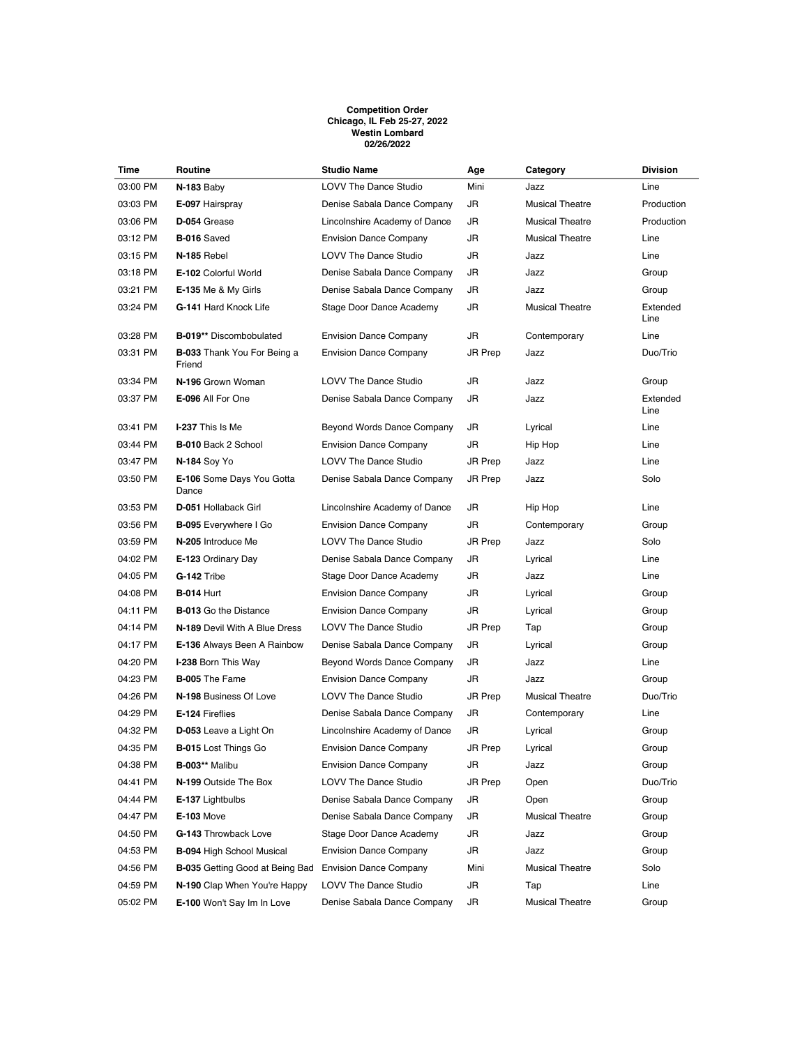## **Competition Order Chicago, IL Feb 25-27, 2022 Westin Lombard 02/26/2022**

| Time     | Routine                                      | <b>Studio Name</b>            | Age     | Category               | <b>Division</b>  |
|----------|----------------------------------------------|-------------------------------|---------|------------------------|------------------|
| 03:00 PM | N-183 Baby                                   | <b>LOVV The Dance Studio</b>  | Mini    | Jazz                   | Line             |
| 03:03 PM | E-097 Hairspray                              | Denise Sabala Dance Company   | JR      | <b>Musical Theatre</b> | Production       |
| 03:06 PM | D-054 Grease                                 | Lincolnshire Academy of Dance | JR      | <b>Musical Theatre</b> | Production       |
| 03:12 PM | <b>B-016 Saved</b>                           | <b>Envision Dance Company</b> | JR      | <b>Musical Theatre</b> | Line             |
| 03:15 PM | N-185 Rebel                                  | <b>LOVV The Dance Studio</b>  | JR      | Jazz                   | Line             |
| 03:18 PM | E-102 Colorful World                         | Denise Sabala Dance Company   | JR      | Jazz                   | Group            |
| 03:21 PM | <b>E-135 Me &amp; My Girls</b>               | Denise Sabala Dance Company   | JR      | Jazz                   | Group            |
| 03:24 PM | G-141 Hard Knock Life                        | Stage Door Dance Academy      | JR      | <b>Musical Theatre</b> | Extended<br>Line |
| 03:28 PM | B-019** Discombobulated                      | <b>Envision Dance Company</b> | JR      | Contemporary           | Line             |
| 03:31 PM | <b>B-033</b> Thank You For Being a<br>Friend | <b>Envision Dance Company</b> | JR Prep | Jazz                   | Duo/Trio         |
| 03:34 PM | N-196 Grown Woman                            | <b>LOVV The Dance Studio</b>  | JR      | Jazz                   | Group            |
| 03:37 PM | E-096 All For One                            | Denise Sabala Dance Company   | JR      | Jazz                   | Extended<br>Line |
| 03:41 PM | I-237 This Is Me                             | Beyond Words Dance Company    | JR      | Lyrical                | Line             |
| 03:44 PM | <b>B-010 Back 2 School</b>                   | <b>Envision Dance Company</b> | JR      | Hip Hop                | Line             |
| 03:47 PM | N-184 Soy Yo                                 | <b>LOVV The Dance Studio</b>  | JR Prep | Jazz                   | Line             |
| 03:50 PM | E-106 Some Days You Gotta<br>Dance           | Denise Sabala Dance Company   | JR Prep | Jazz                   | Solo             |
| 03:53 PM | D-051 Hollaback Girl                         | Lincolnshire Academy of Dance | JR      | Hip Hop                | Line             |
| 03:56 PM | <b>B-095</b> Everywhere I Go                 | <b>Envision Dance Company</b> | JR      | Contemporary           | Group            |
| 03:59 PM | N-205 Introduce Me                           | <b>LOVV The Dance Studio</b>  | JR Prep | Jazz                   | Solo             |
| 04:02 PM | E-123 Ordinary Day                           | Denise Sabala Dance Company   | JR      | Lyrical                | Line             |
| 04:05 PM | G-142 Tribe                                  | Stage Door Dance Academy      | JR      | Jazz                   | Line             |
| 04:08 PM | <b>B-014 Hurt</b>                            | <b>Envision Dance Company</b> | JR      | Lyrical                | Group            |
| 04:11 PM | <b>B-013</b> Go the Distance                 | <b>Envision Dance Company</b> | JR      | Lyrical                | Group            |
| 04:14 PM | N-189 Devil With A Blue Dress                | <b>LOVV The Dance Studio</b>  | JR Prep | Tap                    | Group            |
| 04:17 PM | E-136 Always Been A Rainbow                  | Denise Sabala Dance Company   | JR      | Lyrical                | Group            |
| 04:20 PM | I-238 Born This Way                          | Beyond Words Dance Company    | JR      | Jazz                   | Line             |
| 04:23 PM | <b>B-005</b> The Fame                        | <b>Envision Dance Company</b> | JR      | Jazz                   | Group            |
| 04:26 PM | N-198 Business Of Love                       | <b>LOVV The Dance Studio</b>  | JR Prep | <b>Musical Theatre</b> | Duo/Trio         |
| 04:29 PM | E-124 Fireflies                              | Denise Sabala Dance Company   | JR      | Contemporary           | Line             |
| 04:32 PM | D-053 Leave a Light On                       | Lincolnshire Academy of Dance | JR      | Lyrical                | Group            |
| 04:35 PM | <b>B-015</b> Lost Things Go                  | <b>Envision Dance Company</b> | JR Prep | Lyrical                | Group            |
| 04:38 PM | <b>B-003**</b> Malibu                        | <b>Envision Dance Company</b> | JR      | Jazz                   | Group            |
| 04:41 PM | N-199 Outside The Box                        | LOVV The Dance Studio         | JR Prep | Open                   | Duo/Trio         |
| 04:44 PM | E-137 Lightbulbs                             | Denise Sabala Dance Company   | JR      | Open                   | Group            |
| 04:47 PM | <b>E-103 Move</b>                            | Denise Sabala Dance Company   | JR      | Musical Theatre        | Group            |
| 04:50 PM | G-143 Throwback Love                         | Stage Door Dance Academy      | JR      | Jazz                   | Group            |
| 04:53 PM | <b>B-094 High School Musical</b>             | <b>Envision Dance Company</b> | JR      | Jazz                   | Group            |
| 04:56 PM | <b>B-035</b> Getting Good at Being Bad       | <b>Envision Dance Company</b> | Mini    | <b>Musical Theatre</b> | Solo             |
| 04:59 PM | N-190 Clap When You're Happy                 | LOVV The Dance Studio         | JR      | Tap                    | Line             |
| 05:02 PM | E-100 Won't Say Im In Love                   | Denise Sabala Dance Company   | JR      | <b>Musical Theatre</b> | Group            |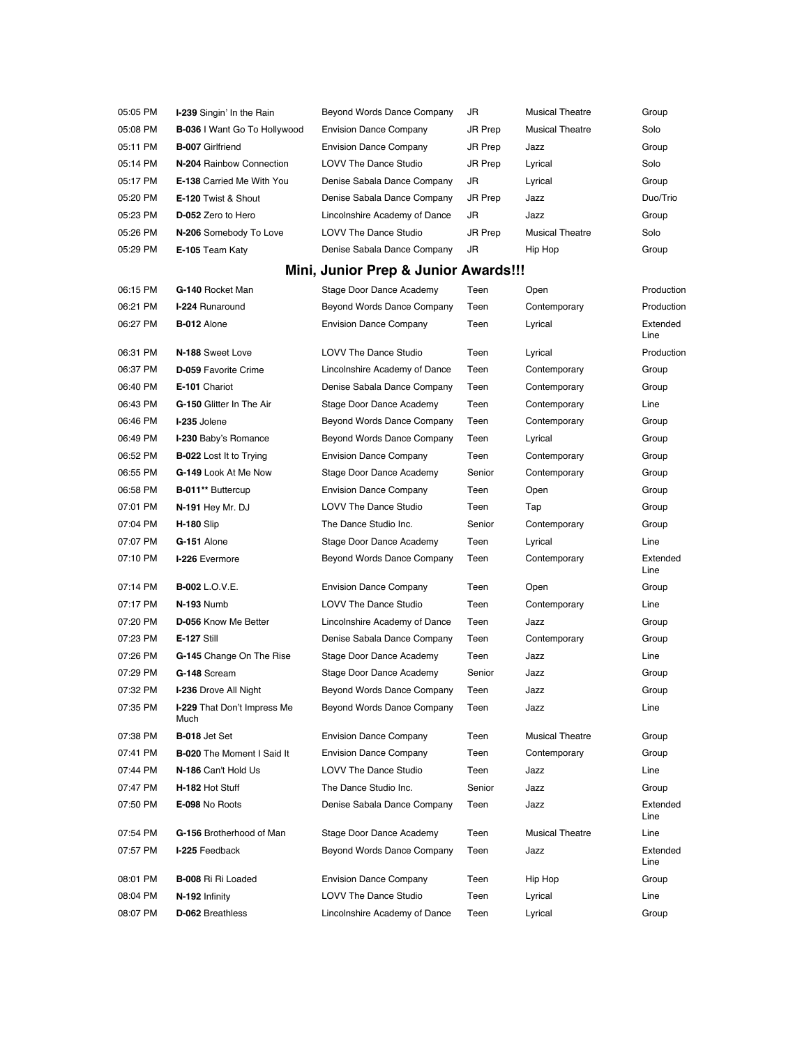| 05:05 PM | I-239 Singin' In the Rain                  | Beyond Words Dance Company           | JR      | <b>Musical Theatre</b> | Group            |
|----------|--------------------------------------------|--------------------------------------|---------|------------------------|------------------|
| 05:08 PM | <b>B-036</b> I Want Go To Hollywood        | <b>Envision Dance Company</b>        | JR Prep | <b>Musical Theatre</b> | Solo             |
| 05:11 PM | <b>B-007 Girlfriend</b>                    | <b>Envision Dance Company</b>        | JR Prep | Jazz                   | Group            |
| 05:14 PM | N-204 Rainbow Connection                   | <b>LOVV The Dance Studio</b>         | JR Prep | Lyrical                | Solo             |
| 05:17 PM | <b>E-138</b> Carried Me With You           | Denise Sabala Dance Company          | JR      | Lyrical                | Group            |
| 05:20 PM | E-120 Twist & Shout                        | Denise Sabala Dance Company          | JR Prep | Jazz                   | Duo/Trio         |
| 05:23 PM | D-052 Zero to Hero                         | Lincolnshire Academy of Dance        | JR      | Jazz                   | Group            |
| 05:26 PM | N-206 Somebody To Love                     | <b>LOVV The Dance Studio</b>         | JR Prep | <b>Musical Theatre</b> | Solo             |
| 05:29 PM | E-105 Team Katy                            | Denise Sabala Dance Company          | JR      | Hip Hop                | Group            |
|          |                                            | Mini, Junior Prep & Junior Awards!!! |         |                        |                  |
| 06:15 PM | G-140 Rocket Man                           | Stage Door Dance Academy             | Teen    | Open                   | Production       |
| 06:21 PM | <b>I-224 Runaround</b>                     | Beyond Words Dance Company           | Teen    | Contemporary           | Production       |
| 06:27 PM | B-012 Alone                                | <b>Envision Dance Company</b>        | Teen    | Lyrical                | Extended<br>Line |
| 06:31 PM | N-188 Sweet Love                           | <b>LOVV The Dance Studio</b>         | Teen    | Lyrical                | Production       |
| 06:37 PM | <b>D-059 Favorite Crime</b>                | Lincolnshire Academy of Dance        | Teen    | Contemporary           | Group            |
| 06:40 PM | E-101 Chariot                              | Denise Sabala Dance Company          | Teen    | Contemporary           | Group            |
| 06:43 PM | G-150 Glitter In The Air                   | Stage Door Dance Academy             | Teen    | Contemporary           | Line             |
| 06:46 PM | I-235 Jolene                               | Beyond Words Dance Company           | Teen    | Contemporary           | Group            |
| 06:49 PM | I-230 Baby's Romance                       | Beyond Words Dance Company           | Teen    | Lyrical                | Group            |
| 06:52 PM | <b>B-022</b> Lost It to Trying             | <b>Envision Dance Company</b>        | Teen    | Contemporary           | Group            |
| 06:55 PM | G-149 Look At Me Now                       | Stage Door Dance Academy             | Senior  | Contemporary           | Group            |
| 06:58 PM | B-011** Buttercup                          | <b>Envision Dance Company</b>        | Teen    | Open                   | Group            |
| 07:01 PM | N-191 Hey Mr. DJ                           | <b>LOVV The Dance Studio</b>         | Teen    | Tap                    | Group            |
| 07:04 PM | <b>H-180 Slip</b>                          | The Dance Studio Inc.                | Senior  | Contemporary           | Group            |
| 07:07 PM | G-151 Alone                                | Stage Door Dance Academy             | Teen    | Lyrical                | Line             |
| 07:10 PM | I-226 Evermore                             | Beyond Words Dance Company           | Teen    | Contemporary           | Extended<br>Line |
| 07:14 PM | <b>B-002</b> L.O.V.E.                      | <b>Envision Dance Company</b>        | Teen    | Open                   | Group            |
| 07:17 PM | N-193 Numb                                 | <b>LOVV The Dance Studio</b>         | Teen    | Contemporary           | Line             |
| 07:20 PM | D-056 Know Me Better                       | Lincolnshire Academy of Dance        | Teen    | Jazz                   | Group            |
| 07:23 PM | <b>E-127 Still</b>                         | Denise Sabala Dance Company          | Teen    | Contemporary           | Group            |
| 07:26 PM | G-145 Change On The Rise                   | Stage Door Dance Academy             | Teen    | Jazz                   | Line             |
| 07:29 PM | G-148 Scream                               | Stage Door Dance Academy             | Senior  | Jazz                   | Group            |
| 07:32 PM | I-236 Drove All Night                      | Beyond Words Dance Company           | Teen    | Jazz                   | Group            |
| 07:35 PM | <b>I-229</b> That Don't Impress Me<br>Much | Beyond Words Dance Company           | Teen    | Jazz                   | Line             |
| 07:38 PM | <b>B-018</b> Jet Set                       | <b>Envision Dance Company</b>        | Teen    | <b>Musical Theatre</b> | Group            |
| 07:41 PM | <b>B-020</b> The Moment I Said It          | <b>Envision Dance Company</b>        | Teen    | Contemporary           | Group            |
| 07:44 PM | N-186 Can't Hold Us                        | LOVV The Dance Studio                | Teen    | Jazz                   | Line             |
| 07:47 PM | H-182 Hot Stuff                            | The Dance Studio Inc.                | Senior  | Jazz                   | Group            |
| 07:50 PM | E-098 No Roots                             | Denise Sabala Dance Company          | Teen    | Jazz                   | Extended<br>Line |
| 07:54 PM | G-156 Brotherhood of Man                   | Stage Door Dance Academy             | Teen    | <b>Musical Theatre</b> | Line             |
| 07:57 PM | I-225 Feedback                             | Beyond Words Dance Company           | Teen    | Jazz                   | Extended<br>Line |
| 08:01 PM | <b>B-008 Ri Ri Loaded</b>                  | <b>Envision Dance Company</b>        | Teen    | Hip Hop                | Group            |
| 08:04 PM | N-192 Infinity                             | <b>LOVV The Dance Studio</b>         | Teen    | Lyrical                | Line             |
| 08:07 PM | D-062 Breathless                           | Lincolnshire Academy of Dance        | Teen    | Lyrical                | Group            |
|          |                                            |                                      |         |                        |                  |